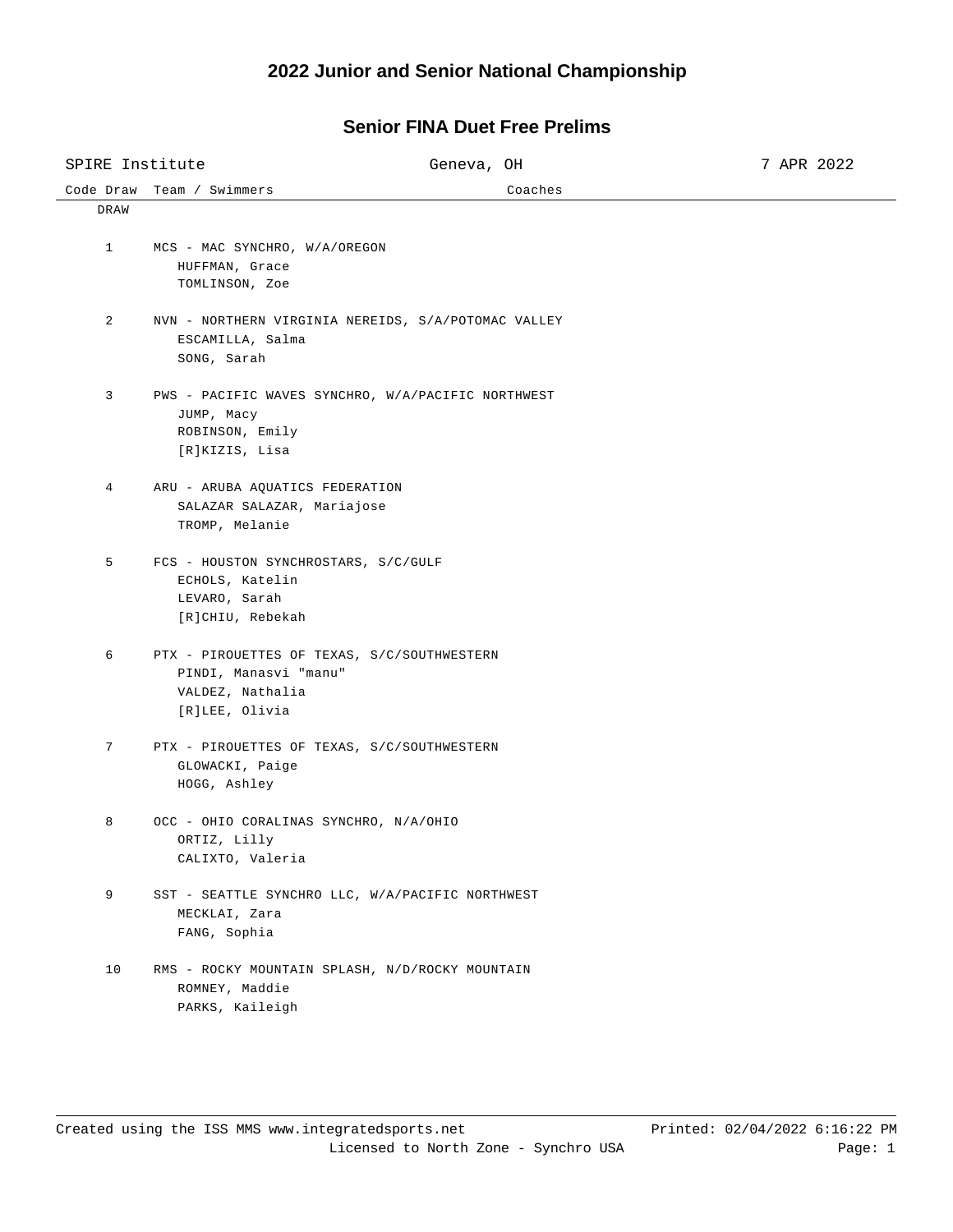## **2022 Junior and Senior National Championship**

## **Senior FINA Duet Free Prelims**

| SPIRE Institute |                                                                                                            | Geneva, OH                                          | 7 APR 2022 |
|-----------------|------------------------------------------------------------------------------------------------------------|-----------------------------------------------------|------------|
| Code Draw       | Team / Swimmers                                                                                            | Coaches                                             |            |
| DRAW            |                                                                                                            |                                                     |            |
| $\mathbf{1}$    | MCS - MAC SYNCHRO, W/A/OREGON<br>HUFFMAN, Grace<br>TOMLINSON, Zoe                                          |                                                     |            |
| 2               | ESCAMILLA, Salma<br>SONG, Sarah                                                                            | NVN - NORTHERN VIRGINIA NEREIDS, S/A/POTOMAC VALLEY |            |
| 3               | JUMP, Macy<br>ROBINSON, Emily<br>[R]KIZIS, Lisa                                                            | PWS - PACIFIC WAVES SYNCHRO, W/A/PACIFIC NORTHWEST  |            |
| 4               | ARU - ARUBA AQUATICS FEDERATION<br>SALAZAR SALAZAR, Mariajose<br>TROMP, Melanie                            |                                                     |            |
| 5               | FCS - HOUSTON SYNCHROSTARS, S/C/GULF<br>ECHOLS, Katelin<br>LEVARO, Sarah<br>[R]CHIU, Rebekah               |                                                     |            |
| 6               | PTX - PIROUETTES OF TEXAS, S/C/SOUTHWESTERN<br>PINDI, Manasvi "manu"<br>VALDEZ, Nathalia<br>[R]LEE, Olivia |                                                     |            |
| 7               | PTX - PIROUETTES OF TEXAS, S/C/SOUTHWESTERN<br>GLOWACKI, Paige<br>HOGG, Ashley                             |                                                     |            |
| 8               | OCC - OHIO CORALINAS SYNCHRO, N/A/OHIO<br>ORTIZ, Lilly<br>CALIXTO, Valeria                                 |                                                     |            |
| 9               | SST - SEATTLE SYNCHRO LLC, W/A/PACIFIC NORTHWEST<br>MECKLAI, Zara<br>FANG, Sophia                          |                                                     |            |
| 10              | RMS - ROCKY MOUNTAIN SPLASH, N/D/ROCKY MOUNTAIN<br>ROMNEY, Maddie<br>PARKS, Kaileigh                       |                                                     |            |